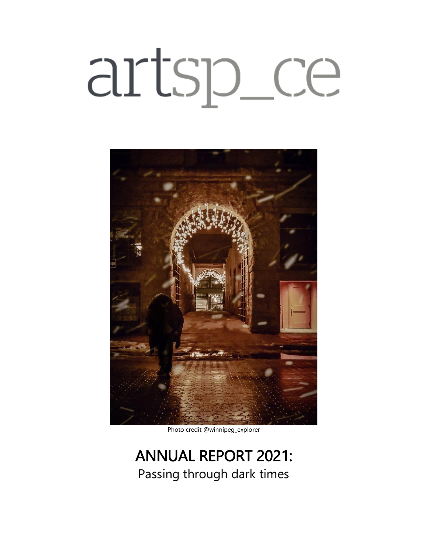# artsp\_ce



Photo credit @winnipeg\_explorer

# ANNUAL REPORT 2021: Passing through dark times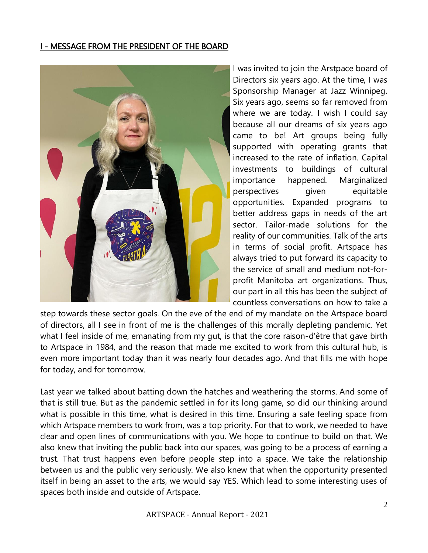## I - MESSAGE FROM THE PRESIDENT OF THE BOARD



I was invited to join the Arstpace board of Directors six years ago. At the time, I was Sponsorship Manager at Jazz Winnipeg. Six years ago, seems so far removed from where we are today. I wish I could say because all our dreams of six years ago came to be! Art groups being fully supported with operating grants that increased to the rate of inflation. Capital investments to buildings of cultural importance happened. Marginalized perspectives given equitable opportunities. Expanded programs to better address gaps in needs of the art sector. Tailor-made solutions for the reality of our communities. Talk of the arts in terms of social profit. Artspace has always tried to put forward its capacity to the service of small and medium not-forprofit Manitoba art organizations. Thus, our part in all this has been the subject of countless conversations on how to take a

step towards these sector goals. On the eve of the end of my mandate on the Artspace board of directors, all I see in front of me is the challenges of this morally depleting pandemic. Yet what I feel inside of me, emanating from my gut, is that the core raison-d'être that gave birth to Artspace in 1984, and the reason that made me excited to work from this cultural hub, is even more important today than it was nearly four decades ago. And that fills me with hope for today, and for tomorrow.

Last year we talked about batting down the hatches and weathering the storms. And some of that is still true. But as the pandemic settled in for its long game, so did our thinking around what is possible in this time, what is desired in this time. Ensuring a safe feeling space from which Artspace members to work from, was a top priority. For that to work, we needed to have clear and open lines of communications with you. We hope to continue to build on that. We also knew that inviting the public back into our spaces, was going to be a process of earning a trust. That trust happens even before people step into a space. We take the relationship between us and the public very seriously. We also knew that when the opportunity presented itself in being an asset to the arts, we would say YES. Which lead to some interesting uses of spaces both inside and outside of Artspace.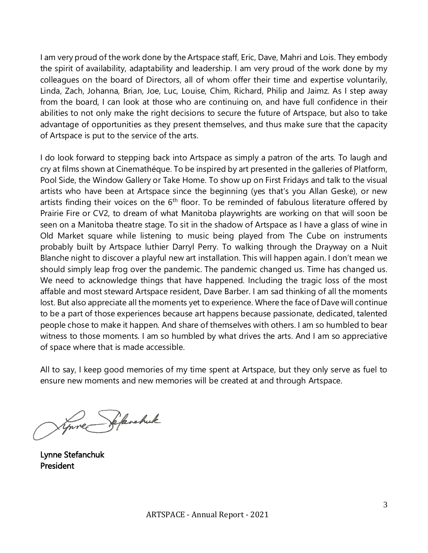I am very proud of the work done by the Artspace staff, Eric, Dave, Mahri and Lois. They embody the spirit of availability, adaptability and leadership. I am very proud of the work done by my colleagues on the board of Directors, all of whom offer their time and expertise voluntarily, Linda, Zach, Johanna, Brian, Joe, Luc, Louise, Chim, Richard, Philip and Jaimz. As I step away from the board, I can look at those who are continuing on, and have full confidence in their abilities to not only make the right decisions to secure the future of Artspace, but also to take advantage of opportunities as they present themselves, and thus make sure that the capacity of Artspace is put to the service of the arts.

I do look forward to stepping back into Artspace as simply a patron of the arts. To laugh and cry at films shown at Cinemathéque. To be inspired by art presented in the galleries of Platform, Pool Side, the Window Gallery or Take Home. To show up on First Fridays and talk to the visual artists who have been at Artspace since the beginning (yes that's you Allan Geske), or new artists finding their voices on the 6<sup>th</sup> floor. To be reminded of fabulous literature offered by Prairie Fire or CV2, to dream of what Manitoba playwrights are working on that will soon be seen on a Manitoba theatre stage. To sit in the shadow of Artspace as I have a glass of wine in Old Market square while listening to music being played from The Cube on instruments probably built by Artspace luthier Darryl Perry. To walking through the Drayway on a Nuit Blanche night to discover a playful new art installation. This will happen again. I don't mean we should simply leap frog over the pandemic. The pandemic changed us. Time has changed us. We need to acknowledge things that have happened. Including the tragic loss of the most affable and most steward Artspace resident, Dave Barber. I am sad thinking of all the moments lost. But also appreciate all the moments yet to experience. Where the face of Dave will continue to be a part of those experiences because art happens because passionate, dedicated, talented people chose to make it happen. And share of themselves with others. I am so humbled to bear witness to those moments. I am so humbled by what drives the arts. And I am so appreciative of space where that is made accessible.

All to say, I keep good memories of my time spent at Artspace, but they only serve as fuel to ensure new moments and new memories will be created at and through Artspace.

 $\overline{\phantom{a}}$ 

Lynne Stefanchuk President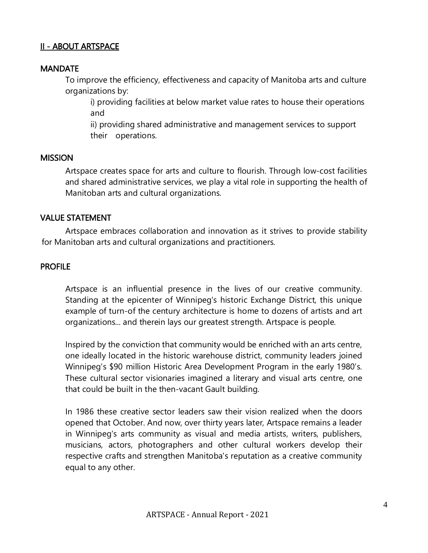#### II - ABOUT ARTSPACE

#### **MANDATE**

To improve the efficiency, effectiveness and capacity of Manitoba arts and culture organizations by:

i) providing facilities at below market value rates to house their operations and

ii) providing shared administrative and management services to support their operations.

#### **MISSION**

Artspace creates space for arts and culture to flourish. Through low-cost facilities and shared administrative services, we play a vital role in supporting the health of Manitoban arts and cultural organizations.

#### VALUE STATEMENT

Artspace embraces collaboration and innovation as it strives to provide stability for Manitoban arts and cultural organizations and practitioners.

#### PROFILE

Artspace is an influential presence in the lives of our creative community. Standing at the epicenter of Winnipeg's historic Exchange District, this unique example of turn-of the century architecture is home to dozens of artists and art organizations... and therein lays our greatest strength. Artspace is people.

Inspired by the conviction that community would be enriched with an arts centre, one ideally located in the historic warehouse district, community leaders joined Winnipeg's \$90 million Historic Area Development Program in the early 1980's. These cultural sector visionaries imagined a literary and visual arts centre, one that could be built in the then-vacant Gault building.

In 1986 these creative sector leaders saw their vision realized when the doors opened that October. And now, over thirty years later, Artspace remains a leader in Winnipeg's arts community as visual and media artists, writers, publishers, musicians, actors, photographers and other cultural workers develop their respective crafts and strengthen Manitoba's reputation as a creative community equal to any other.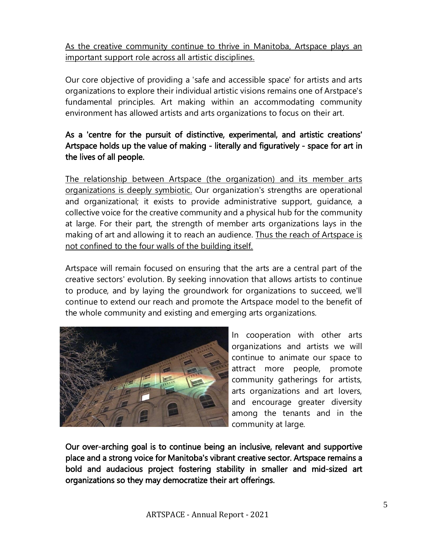As the creative community continue to thrive in Manitoba, Artspace plays an important support role across all artistic disciplines.

Our core objective of providing a 'safe and accessible space' for artists and arts organizations to explore their individual artistic visions remains one of Arstpace's fundamental principles. Art making within an accommodating community environment has allowed artists and arts organizations to focus on their art.

# As a 'centre for the pursuit of distinctive, experimental, and artistic creations' Artspace holds up the value of making - literally and figuratively - space for art in the lives of all people.

The relationship between Artspace (the organization) and its member arts organizations is deeply symbiotic. Our organization's strengths are operational and organizational; it exists to provide administrative support, guidance, a collective voice for the creative community and a physical hub for the community at large. For their part, the strength of member arts organizations lays in the making of art and allowing it to reach an audience. Thus the reach of Artspace is not confined to the four walls of the building itself.

Artspace will remain focused on ensuring that the arts are a central part of the creative sectors' evolution. By seeking innovation that allows artists to continue to produce, and by laying the groundwork for organizations to succeed, we'll continue to extend our reach and promote the Artspace model to the benefit of the whole community and existing and emerging arts organizations.



In cooperation with other arts organizations and artists we will continue to animate our space to attract more people, promote community gatherings for artists, arts organizations and art lovers, and encourage greater diversity among the tenants and in the community at large.

Our over-arching goal is to continue being an inclusive, relevant and supportive place and a strong voice for Manitoba's vibrant creative sector. Artspace remains a bold and audacious project fostering stability in smaller and mid-sized art organizations so they may democratize their art offerings.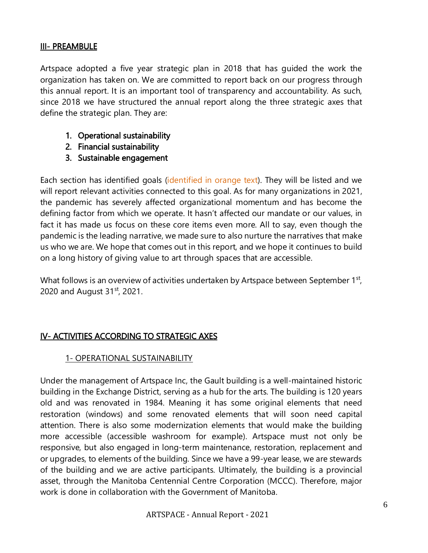#### III- PREAMBULE

Artspace adopted a five year strategic plan in 2018 that has guided the work the organization has taken on. We are committed to report back on our progress through this annual report. It is an important tool of transparency and accountability. As such, since 2018 we have structured the annual report along the three strategic axes that define the strategic plan. They are:

- 1. Operational sustainability
- 2. Financial sustainability
- 3. Sustainable engagement

Each section has identified goals (identified in orange text). They will be listed and we will report relevant activities connected to this goal. As for many organizations in 2021, the pandemic has severely affected organizational momentum and has become the defining factor from which we operate. It hasn't affected our mandate or our values, in fact it has made us focus on these core items even more. All to say, even though the pandemic is the leading narrative, we made sure to also nurture the narratives that make us who we are. We hope that comes out in this report, and we hope it continues to build on a long history of giving value to art through spaces that are accessible.

What follows is an overview of activities undertaken by Artspace between September 1st, 2020 and August 31st, 2021.

#### IV- ACTIVITIES ACCORDING TO STRATEGIC AXES

#### 1- OPERATIONAL SUSTAINABILITY

Under the management of Artspace Inc, the Gault building is a well-maintained historic building in the Exchange District, serving as a hub for the arts. The building is 120 years old and was renovated in 1984. Meaning it has some original elements that need restoration (windows) and some renovated elements that will soon need capital attention. There is also some modernization elements that would make the building more accessible (accessible washroom for example). Artspace must not only be responsive, but also engaged in long-term maintenance, restoration, replacement and or upgrades, to elements of the building. Since we have a 99-year lease, we are stewards of the building and we are active participants. Ultimately, the building is a provincial asset, through the Manitoba Centennial Centre Corporation (MCCC). Therefore, major work is done in collaboration with the Government of Manitoba.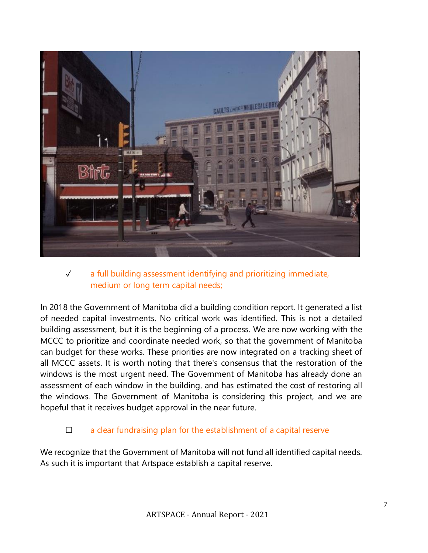

# ✓ a full building assessment identifying and prioritizing immediate, medium or long term capital needs;

In 2018 the Government of Manitoba did a building condition report. It generated a list of needed capital investments. No critical work was identified. This is not a detailed building assessment, but it is the beginning of a process. We are now working with the MCCC to prioritize and coordinate needed work, so that the government of Manitoba can budget for these works. These priorities are now integrated on a tracking sheet of all MCCC assets. It is worth noting that there's consensus that the restoration of the windows is the most urgent need. The Government of Manitoba has already done an assessment of each window in the building, and has estimated the cost of restoring all the windows. The Government of Manitoba is considering this project, and we are hopeful that it receives budget approval in the near future.

# $\Box$  a clear fundraising plan for the establishment of a capital reserve

We recognize that the Government of Manitoba will not fund all identified capital needs. As such it is important that Artspace establish a capital reserve.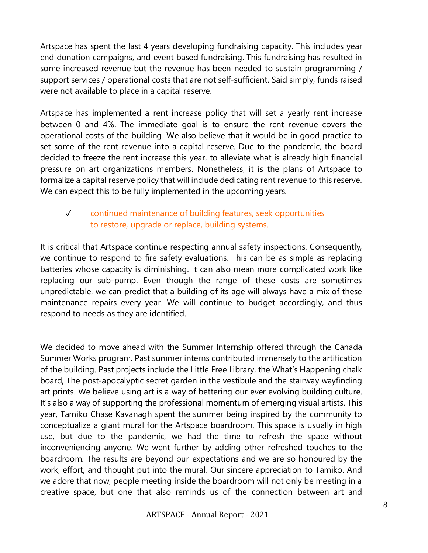Artspace has spent the last 4 years developing fundraising capacity. This includes year end donation campaigns, and event based fundraising. This fundraising has resulted in some increased revenue but the revenue has been needed to sustain programming / support services / operational costs that are not self-sufficient. Said simply, funds raised were not available to place in a capital reserve.

Artspace has implemented a rent increase policy that will set a yearly rent increase between 0 and 4%. The immediate goal is to ensure the rent revenue covers the operational costs of the building. We also believe that it would be in good practice to set some of the rent revenue into a capital reserve. Due to the pandemic, the board decided to freeze the rent increase this year, to alleviate what is already high financial pressure on art organizations members. Nonetheless, it is the plans of Artspace to formalize a capital reserve policy that will include dedicating rent revenue to this reserve. We can expect this to be fully implemented in the upcoming years.

# ✓ continued maintenance of building features, seek opportunities to restore, upgrade or replace, building systems.

It is critical that Artspace continue respecting annual safety inspections. Consequently, we continue to respond to fire safety evaluations. This can be as simple as replacing batteries whose capacity is diminishing. It can also mean more complicated work like replacing our sub-pump. Even though the range of these costs are sometimes unpredictable, we can predict that a building of its age will always have a mix of these maintenance repairs every year. We will continue to budget accordingly, and thus respond to needs as they are identified.

We decided to move ahead with the Summer Internship offered through the Canada Summer Works program. Past summer interns contributed immensely to the artification of the building. Past projects include the Little Free Library, the What's Happening chalk board, The post-apocalyptic secret garden in the vestibule and the stairway wayfinding art prints. We believe using art is a way of bettering our ever evolving building culture. It's also a way of supporting the professional momentum of emerging visual artists. This year, Tamiko Chase Kavanagh spent the summer being inspired by the community to conceptualize a giant mural for the Artspace boardroom. This space is usually in high use, but due to the pandemic, we had the time to refresh the space without inconveniencing anyone. We went further by adding other refreshed touches to the boardroom. The results are beyond our expectations and we are so honoured by the work, effort, and thought put into the mural. Our sincere appreciation to Tamiko. And we adore that now, people meeting inside the boardroom will not only be meeting in a creative space, but one that also reminds us of the connection between art and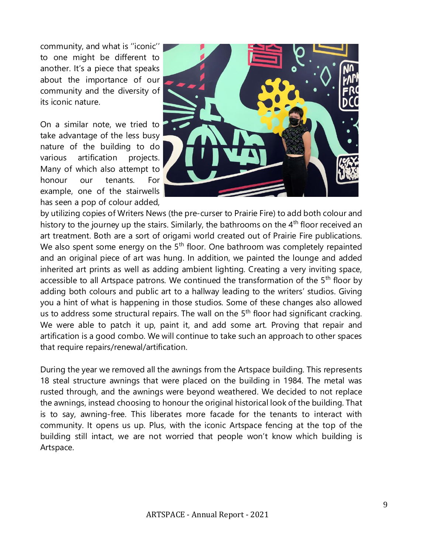community, and what is ''iconic'' to one might be different to another. It's a piece that speaks about the importance of our community and the diversity of its iconic nature.

On a similar note, we tried to take advantage of the less busy nature of the building to do various artification projects. Many of which also attempt to honour our tenants. For example, one of the stairwells has seen a pop of colour added,



by utilizing copies of Writers News (the pre-curser to Prairie Fire) to add both colour and history to the journey up the stairs. Similarly, the bathrooms on the 4<sup>th</sup> floor received an art treatment. Both are a sort of origami world created out of Prairie Fire publications. We also spent some energy on the 5<sup>th</sup> floor. One bathroom was completely repainted and an original piece of art was hung. In addition, we painted the lounge and added inherited art prints as well as adding ambient lighting. Creating a very inviting space, accessible to all Artspace patrons. We continued the transformation of the 5<sup>th</sup> floor by adding both colours and public art to a hallway leading to the writers' studios. Giving you a hint of what is happening in those studios. Some of these changes also allowed us to address some structural repairs. The wall on the 5<sup>th</sup> floor had significant cracking. We were able to patch it up, paint it, and add some art. Proving that repair and artification is a good combo. We will continue to take such an approach to other spaces that require repairs/renewal/artification.

During the year we removed all the awnings from the Artspace building. This represents 18 steal structure awnings that were placed on the building in 1984. The metal was rusted through, and the awnings were beyond weathered. We decided to not replace the awnings, instead choosing to honour the original historical look of the building. That is to say, awning-free. This liberates more facade for the tenants to interact with community. It opens us up. Plus, with the iconic Artspace fencing at the top of the building still intact, we are not worried that people won't know which building is Artspace.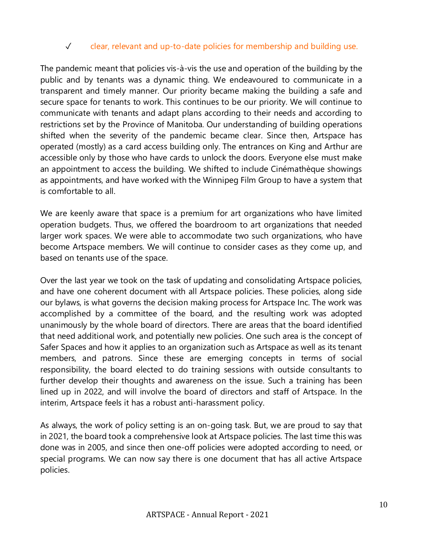## ✓ clear, relevant and up-to-date policies for membership and building use.

The pandemic meant that policies vis-à-vis the use and operation of the building by the public and by tenants was a dynamic thing. We endeavoured to communicate in a transparent and timely manner. Our priority became making the building a safe and secure space for tenants to work. This continues to be our priority. We will continue to communicate with tenants and adapt plans according to their needs and according to restrictions set by the Province of Manitoba. Our understanding of building operations shifted when the severity of the pandemic became clear. Since then, Artspace has operated (mostly) as a card access building only. The entrances on King and Arthur are accessible only by those who have cards to unlock the doors. Everyone else must make an appointment to access the building. We shifted to include Cinémathèque showings as appointments, and have worked with the Winnipeg Film Group to have a system that is comfortable to all.

We are keenly aware that space is a premium for art organizations who have limited operation budgets. Thus, we offered the boardroom to art organizations that needed larger work spaces. We were able to accommodate two such organizations, who have become Artspace members. We will continue to consider cases as they come up, and based on tenants use of the space.

Over the last year we took on the task of updating and consolidating Artspace policies, and have one coherent document with all Artspace policies. These policies, along side our bylaws, is what governs the decision making process for Artspace Inc. The work was accomplished by a committee of the board, and the resulting work was adopted unanimously by the whole board of directors. There are areas that the board identified that need additional work, and potentially new policies. One such area is the concept of Safer Spaces and how it applies to an organization such as Artspace as well as its tenant members, and patrons. Since these are emerging concepts in terms of social responsibility, the board elected to do training sessions with outside consultants to further develop their thoughts and awareness on the issue. Such a training has been lined up in 2022, and will involve the board of directors and staff of Artspace. In the interim, Artspace feels it has a robust anti-harassment policy.

As always, the work of policy setting is an on-going task. But, we are proud to say that in 2021, the board took a comprehensive look at Artspace policies. The last time this was done was in 2005, and since then one-off policies were adopted according to need, or special programs. We can now say there is one document that has all active Artspace policies.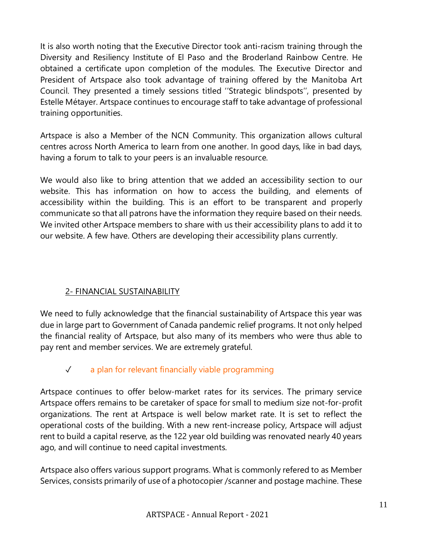It is also worth noting that the Executive Director took anti-racism training through the Diversity and Resiliency Institute of El Paso and the Broderland Rainbow Centre. He obtained a certificate upon completion of the modules. The Executive Director and President of Artspace also took advantage of training offered by the Manitoba Art Council. They presented a timely sessions titled ''Strategic blindspots'', presented by Estelle Métayer. Artspace continues to encourage staff to take advantage of professional training opportunities.

Artspace is also a Member of the NCN Community. This organization allows cultural centres across North America to learn from one another. In good days, like in bad days, having a forum to talk to your peers is an invaluable resource.

We would also like to bring attention that we added an accessibility section to our website. This has information on how to access the building, and elements of accessibility within the building. This is an effort to be transparent and properly communicate so that all patrons have the information they require based on their needs. We invited other Artspace members to share with us their accessibility plans to add it to our website. A few have. Others are developing their accessibility plans currently.

# 2- FINANCIAL SUSTAINABILITY

We need to fully acknowledge that the financial sustainability of Artspace this year was due in large part to Government of Canada pandemic relief programs. It not only helped the financial reality of Artspace, but also many of its members who were thus able to pay rent and member services. We are extremely grateful.

# ✓ a plan for relevant financially viable programming

Artspace continues to offer below-market rates for its services. The primary service Artspace offers remains to be caretaker of space for small to medium size not-for-profit organizations. The rent at Artspace is well below market rate. It is set to reflect the operational costs of the building. With a new rent-increase policy, Artspace will adjust rent to build a capital reserve, as the 122 year old building was renovated nearly 40 years ago, and will continue to need capital investments.

Artspace also offers various support programs. What is commonly refered to as Member Services, consists primarily of use of a photocopier /scanner and postage machine. These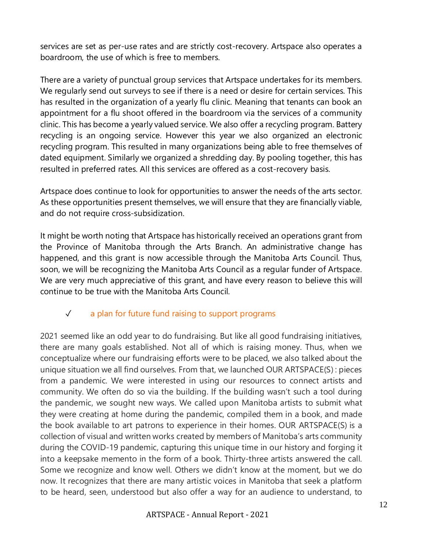services are set as per-use rates and are strictly cost-recovery. Artspace also operates a boardroom, the use of which is free to members.

There are a variety of punctual group services that Artspace undertakes for its members. We regularly send out surveys to see if there is a need or desire for certain services. This has resulted in the organization of a yearly flu clinic. Meaning that tenants can book an appointment for a flu shoot offered in the boardroom via the services of a community clinic. This has become a yearly valued service. We also offer a recycling program. Battery recycling is an ongoing service. However this year we also organized an electronic recycling program. This resulted in many organizations being able to free themselves of dated equipment. Similarly we organized a shredding day. By pooling together, this has resulted in preferred rates. All this services are offered as a cost-recovery basis.

Artspace does continue to look for opportunities to answer the needs of the arts sector. As these opportunities present themselves, we will ensure that they are financially viable, and do not require cross-subsidization.

It might be worth noting that Artspace has historically received an operations grant from the Province of Manitoba through the Arts Branch. An administrative change has happened, and this grant is now accessible through the Manitoba Arts Council. Thus, soon, we will be recognizing the Manitoba Arts Council as a regular funder of Artspace. We are very much appreciative of this grant, and have every reason to believe this will continue to be true with the Manitoba Arts Council.

# ✓ a plan for future fund raising to support programs

2021 seemed like an odd year to do fundraising. But like all good fundraising initiatives, there are many goals established. Not all of which is raising money. Thus, when we conceptualize where our fundraising efforts were to be placed, we also talked about the unique situation we all find ourselves. From that, we launched OUR ARTSPACE(S) : pieces from a pandemic. We were interested in using our resources to connect artists and community. We often do so via the building. If the building wasn't such a tool during the pandemic, we sought new ways. We called upon Manitoba artists to submit what they were creating at home during the pandemic, compiled them in a book, and made the book available to art patrons to experience in their homes. OUR ARTSPACE(S) is a collection of visual and written works created by members of Manitoba's arts community during the COVID-19 pandemic, capturing this unique time in our history and forging it into a keepsake memento in the form of a book. Thirty-three artists answered the call. Some we recognize and know well. Others we didn't know at the moment, but we do now. It recognizes that there are many artistic voices in Manitoba that seek a platform to be heard, seen, understood but also offer a way for an audience to understand, to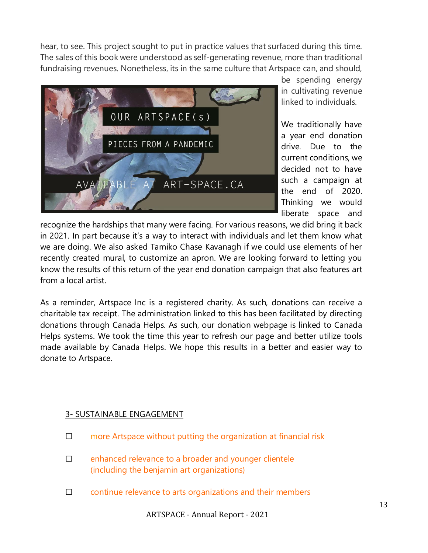hear, to see. This project sought to put in practice values that surfaced during this time. The sales of this book were understood as self-generating revenue, more than traditional fundraising revenues. Nonetheless, its in the same culture that Artspace can, and should,



be spending energy in cultivating revenue linked to individuals.

We traditionally have a year end donation drive. Due to the current conditions, we decided not to have such a campaign at the end of 2020. Thinking we would liberate space and

recognize the hardships that many were facing. For various reasons, we did bring it back in 2021. In part because it's a way to interact with individuals and let them know what we are doing. We also asked Tamiko Chase Kavanagh if we could use elements of her recently created mural, to customize an apron. We are looking forward to letting you know the results of this return of the year end donation campaign that also features art from a local artist.

As a reminder, Artspace Inc is a registered charity. As such, donations can receive a charitable tax receipt. The administration linked to this has been facilitated by directing donations through Canada Helps. As such, our donation webpage is linked to Canada Helps systems. We took the time this year to refresh our page and better utilize tools made available by Canada Helps. We hope this results in a better and easier way to donate to Artspace.

#### 3- SUSTAINABLE ENGAGEMENT

- □ more Artspace without putting the organization at financial risk
- □ enhanced relevance to a broader and younger clientele (including the benjamin art organizations)
- ☐ continue relevance to arts organizations and their members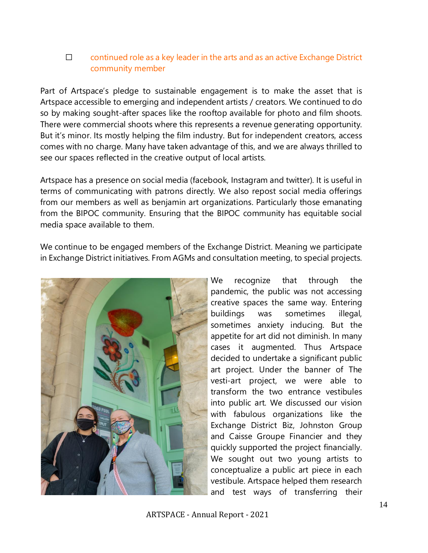# ☐ continued role as a key leader in the arts and as an active Exchange District community member

Part of Artspace's pledge to sustainable engagement is to make the asset that is Artspace accessible to emerging and independent artists / creators. We continued to do so by making sought-after spaces like the rooftop available for photo and film shoots. There were commercial shoots where this represents a revenue generating opportunity. But it's minor. Its mostly helping the film industry. But for independent creators, access comes with no charge. Many have taken advantage of this, and we are always thrilled to see our spaces reflected in the creative output of local artists.

Artspace has a presence on social media (facebook, Instagram and twitter). It is useful in terms of communicating with patrons directly. We also repost social media offerings from our members as well as benjamin art organizations. Particularly those emanating from the BIPOC community. Ensuring that the BIPOC community has equitable social media space available to them.

We continue to be engaged members of the Exchange District. Meaning we participate in Exchange District initiatives. From AGMs and consultation meeting, to special projects.



We recognize that through the pandemic, the public was not accessing creative spaces the same way. Entering buildings was sometimes illegal, sometimes anxiety inducing. But the appetite for art did not diminish. In many cases it augmented. Thus Artspace decided to undertake a significant public art project. Under the banner of The vesti-art project, we were able to transform the two entrance vestibules into public art. We discussed our vision with fabulous organizations like the Exchange District Biz, Johnston Group and Caisse Groupe Financier and they quickly supported the project financially. We sought out two young artists to conceptualize a public art piece in each vestibule. Artspace helped them research and test ways of transferring their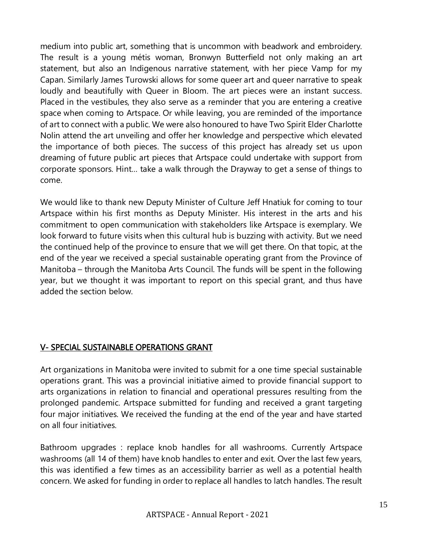medium into public art, something that is uncommon with beadwork and embroidery. The result is a young métis woman, Bronwyn Butterfield not only making an art statement, but also an Indigenous narrative statement, with her piece Vamp for my Capan. Similarly James Turowski allows for some queer art and queer narrative to speak loudly and beautifully with Queer in Bloom. The art pieces were an instant success. Placed in the vestibules, they also serve as a reminder that you are entering a creative space when coming to Artspace. Or while leaving, you are reminded of the importance of art to connect with a public. We were also honoured to have Two Spirit Elder Charlotte Nolin attend the art unveiling and offer her knowledge and perspective which elevated the importance of both pieces. The success of this project has already set us upon dreaming of future public art pieces that Artspace could undertake with support from corporate sponsors. Hint… take a walk through the Drayway to get a sense of things to come.

We would like to thank new Deputy Minister of Culture Jeff Hnatiuk for coming to tour Artspace within his first months as Deputy Minister. His interest in the arts and his commitment to open communication with stakeholders like Artspace is exemplary. We look forward to future visits when this cultural hub is buzzing with activity. But we need the continued help of the province to ensure that we will get there. On that topic, at the end of the year we received a special sustainable operating grant from the Province of Manitoba – through the Manitoba Arts Council. The funds will be spent in the following year, but we thought it was important to report on this special grant, and thus have added the section below.

# V- SPECIAL SUSTAINABLE OPERATIONS GRANT

Art organizations in Manitoba were invited to submit for a one time special sustainable operations grant. This was a provincial initiative aimed to provide financial support to arts organizations in relation to financial and operational pressures resulting from the prolonged pandemic. Artspace submitted for funding and received a grant targeting four major initiatives. We received the funding at the end of the year and have started on all four initiatives.

Bathroom upgrades : replace knob handles for all washrooms. Currently Artspace washrooms (all 14 of them) have knob handles to enter and exit. Over the last few years, this was identified a few times as an accessibility barrier as well as a potential health concern. We asked for funding in order to replace all handles to latch handles. The result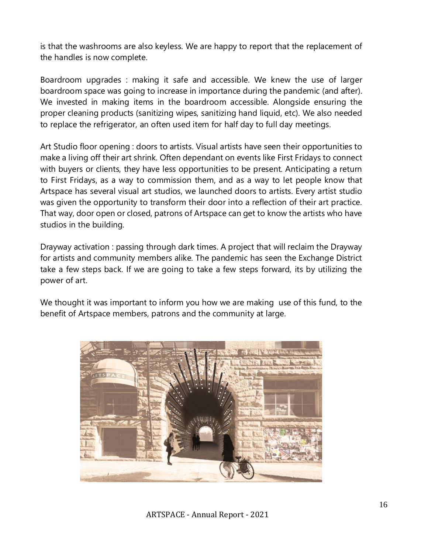is that the washrooms are also keyless. We are happy to report that the replacement of the handles is now complete.

Boardroom upgrades : making it safe and accessible. We knew the use of larger boardroom space was going to increase in importance during the pandemic (and after). We invested in making items in the boardroom accessible. Alongside ensuring the proper cleaning products (sanitizing wipes, sanitizing hand liquid, etc). We also needed to replace the refrigerator, an often used item for half day to full day meetings.

Art Studio floor opening : doors to artists. Visual artists have seen their opportunities to make a living off their art shrink. Often dependant on events like First Fridays to connect with buyers or clients, they have less opportunities to be present. Anticipating a return to First Fridays, as a way to commission them, and as a way to let people know that Artspace has several visual art studios, we launched doors to artists. Every artist studio was given the opportunity to transform their door into a reflection of their art practice. That way, door open or closed, patrons of Artspace can get to know the artists who have studios in the building.

Drayway activation : passing through dark times. A project that will reclaim the Drayway for artists and community members alike. The pandemic has seen the Exchange District take a few steps back. If we are going to take a few steps forward, its by utilizing the power of art.

We thought it was important to inform you how we are making use of this fund, to the benefit of Artspace members, patrons and the community at large.

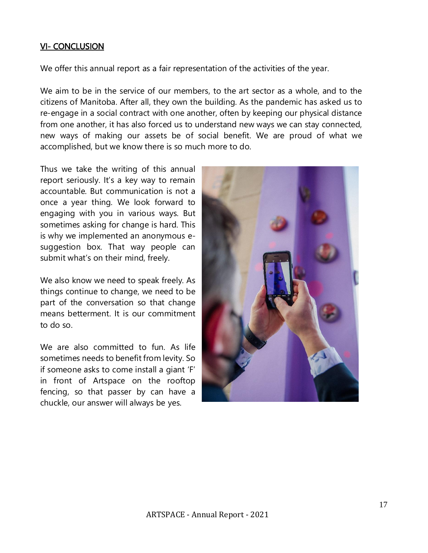#### VI- CONCLUSION

We offer this annual report as a fair representation of the activities of the year.

We aim to be in the service of our members, to the art sector as a whole, and to the citizens of Manitoba. After all, they own the building. As the pandemic has asked us to re-engage in a social contract with one another, often by keeping our physical distance from one another, it has also forced us to understand new ways we can stay connected, new ways of making our assets be of social benefit. We are proud of what we accomplished, but we know there is so much more to do.

Thus we take the writing of this annual report seriously. It's a key way to remain accountable. But communication is not a once a year thing. We look forward to engaging with you in various ways. But sometimes asking for change is hard. This is why we implemented an anonymous esuggestion box. That way people can submit what's on their mind, freely.

We also know we need to speak freely. As things continue to change, we need to be part of the conversation so that change means betterment. It is our commitment to do so.

We are also committed to fun. As life sometimes needs to benefit from levity. So if someone asks to come install a giant 'F' in front of Artspace on the rooftop fencing, so that passer by can have a chuckle, our answer will always be yes.